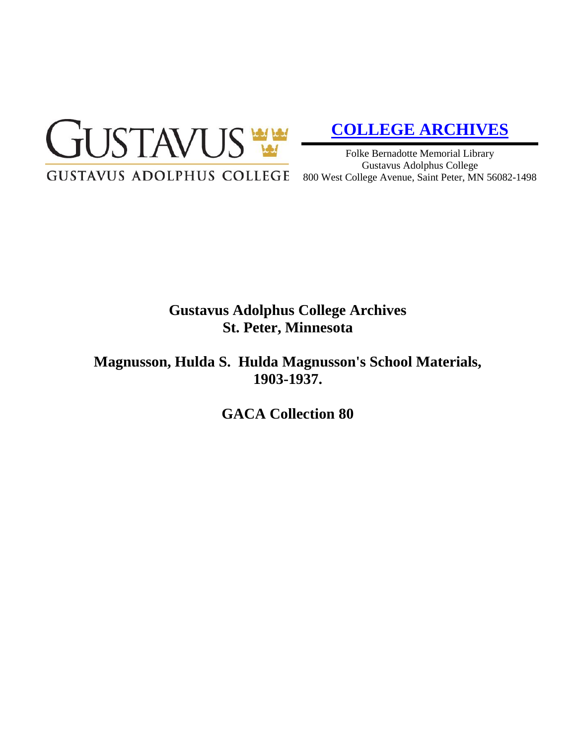

# **[COLLEGE ARCHIVES](http://gustavus.edu/academics/library/archives/)**

Folke Bernadotte Memorial Library Gustavus Adolphus College 800 West College Avenue, Saint Peter, MN 56082-1498

# **Gustavus Adolphus College Archives St. Peter, Minnesota**

**Magnusson, Hulda S. Hulda Magnusson's School Materials, 1903-1937.**

**GACA Collection 80**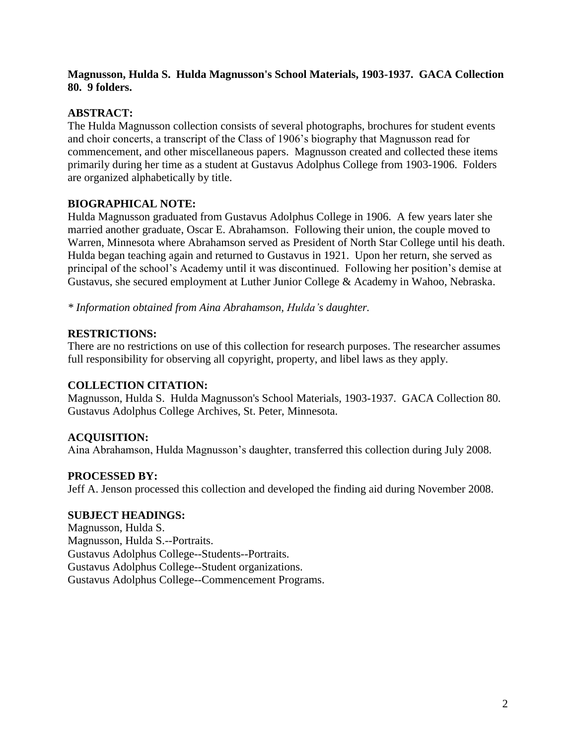#### **Magnusson, Hulda S. Hulda Magnusson's School Materials, 1903-1937. GACA Collection 80. 9 folders.**

### **ABSTRACT:**

The Hulda Magnusson collection consists of several photographs, brochures for student events and choir concerts, a transcript of the Class of 1906's biography that Magnusson read for commencement, and other miscellaneous papers. Magnusson created and collected these items primarily during her time as a student at Gustavus Adolphus College from 1903-1906. Folders are organized alphabetically by title.

# **BIOGRAPHICAL NOTE:**

Hulda Magnusson graduated from Gustavus Adolphus College in 1906. A few years later she married another graduate, Oscar E. Abrahamson. Following their union, the couple moved to Warren, Minnesota where Abrahamson served as President of North Star College until his death. Hulda began teaching again and returned to Gustavus in 1921. Upon her return, she served as principal of the school's Academy until it was discontinued. Following her position's demise at Gustavus, she secured employment at Luther Junior College & Academy in Wahoo, Nebraska.

*\* Information obtained from Aina Abrahamson, Hulda's daughter.*

# **RESTRICTIONS:**

There are no restrictions on use of this collection for research purposes. The researcher assumes full responsibility for observing all copyright, property, and libel laws as they apply.

#### **COLLECTION CITATION:**

Magnusson, Hulda S. Hulda Magnusson's School Materials, 1903-1937. GACA Collection 80. Gustavus Adolphus College Archives, St. Peter, Minnesota.

# **ACQUISITION:**

Aina Abrahamson, Hulda Magnusson's daughter, transferred this collection during July 2008.

#### **PROCESSED BY:**

Jeff A. Jenson processed this collection and developed the finding aid during November 2008.

#### **SUBJECT HEADINGS:**

Magnusson, Hulda S. Magnusson, Hulda S.--Portraits. Gustavus Adolphus College--Students--Portraits. Gustavus Adolphus College--Student organizations. Gustavus Adolphus College--Commencement Programs.